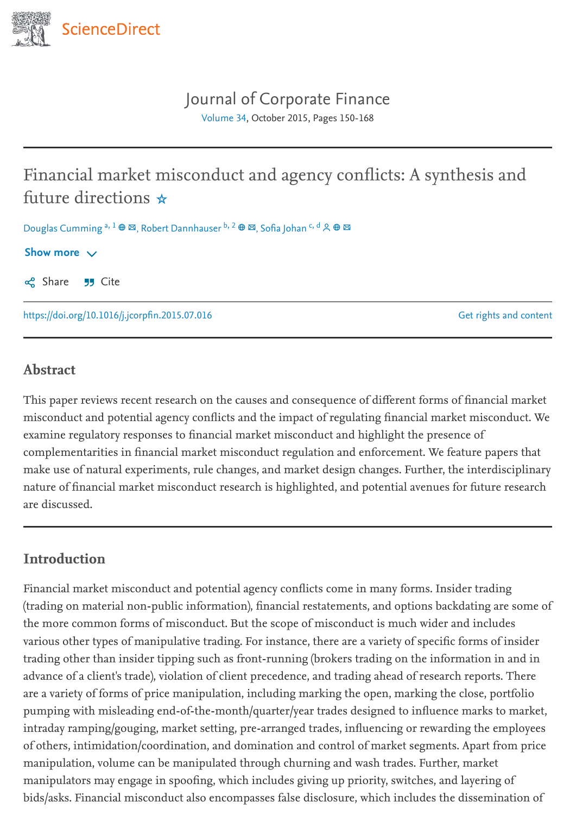

# Journal of [Corporate](https://www.sciencedirect.com/journal/journal-of-corporate-finance) Finance

<span id="page-0-2"></span><span id="page-0-0"></span>[Volume](https://www.sciencedirect.com/journal/journal-of-corporate-finance/vol/34/suppl/C) 34, October 2015, Pages 150-168

# Financial market misconduct and agency conflicts: A synthesis and future directions ☆

<span id="page-0-1"></span>Douglas Cumming <sup>a, 1</sup> ⊕ ⊠, Robert Dannhauser <sup>b, 2</sup> ⊕ ⊠, Sofia Johan <sup>c, d</sup>

#### Show more  $\vee$

 $\infty$  Share  $\cup$  Cite

<https://doi.org/10.1016/j.jcorpfin.2015.07.016>

Get rights and [content](https://s100.copyright.com/AppDispatchServlet?publisherName=ELS&contentID=S0929119915000899&orderBeanReset=true)

## Abstract

This paper reviews recent research on the causes and consequence of different forms of financial market misconduct and potential agency conflicts and the impact of regulating financial market misconduct. We examine regulatory responses to financial market misconduct and highlight the presence of complementarities in financial market misconduct regulation and enforcement. We feature papers that make use of natural experiments, rule changes, and market design changes. Further, the interdisciplinary nature of financial market misconduct research is highlighted, and potential avenues for future research are discussed.

### Introduction

Financial market misconduct and potential agency conflicts come in many forms. Insider trading (trading on material non-public information), financial restatements, and options backdating are some of the more common forms of misconduct. But the scope of misconduct is much wider and includes various other types of manipulative trading. For instance, there are a variety of specific forms of insider trading other than insider tipping such as front-running (brokers trading on the information in and in advance of a client's trade), violation of client precedence, and trading ahead of research reports. There are a variety of forms of price manipulation, including marking the open, marking the close, portfolio pumping with misleading end-of-the-month/quarter/year trades designed to influence marks to market, intraday ramping/gouging, market setting, pre-arranged trades, influencing or rewarding the employees of others, intimidation/coordination, and domination and control of market segments. Apart from price manipulation, volume can be manipulated through churning and wash trades. Further, market manipulators may engage in spoofing, which includes giving up priority, switches, and layering of bids/asks. Financial misconduct also encompasses false disclosure, which includes the dissemination of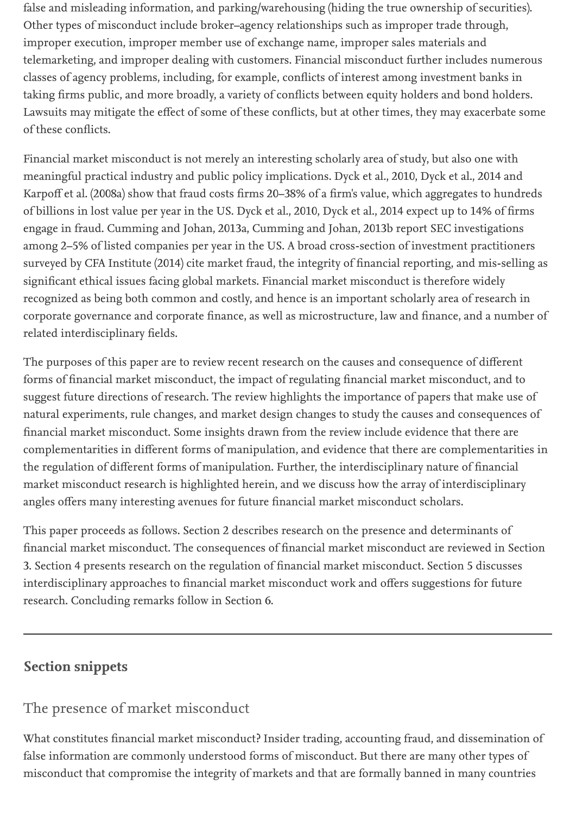false and misleading information, and parking/warehousing (hiding the true ownership of securities). Other types of misconduct include broker–agency relationships such as improper trade through, improper execution, improper member use of exchange name, improper sales materials and telemarketing, and improper dealing with customers. Financial misconduct further includes numerous classes of agency problems, including, for example, conflicts of interest among investment banks in taking firms public, and more broadly, a variety of conflicts between equity holders and bond holders. Lawsuits may mitigate the effect of some of these conflicts, but at other times, they may exacerbate some of these conflicts.

Financial market misconduct is not merely an interesting scholarly area of study, but also one with meaningful practical industry and public policy implications. Dyck et al., 2010, Dyck et al., 2014 and Karpoff et al. (2008a) show that fraud costs firms 20–38% of a firm's value, which aggregates to hundreds of billions in lost value per year in the US. Dyck et al., 2010, Dyck et al., 2014 expect up to 14% of firms engage in fraud. Cumming and Johan, 2013a, Cumming and Johan, 2013b report SEC investigations among 2–5% of listed companies per year in the US. A broad cross-section of investment practitioners surveyed by CFA Institute (2014) cite market fraud, the integrity of financial reporting, and mis-selling as significant ethical issues facing global markets. Financial market misconduct is therefore widely recognized as being both common and costly, and hence is an important scholarly area of research in corporate governance and corporate finance, as well as microstructure, law and finance, and a number of related interdisciplinary fields.

The purposes of this paper are to review recent research on the causes and consequence of different forms of financial market misconduct, the impact of regulating financial market misconduct, and to suggest future directions of research. The review highlights the importance of papers that make use of natural experiments, rule changes, and market design changes to study the causes and consequences of financial market misconduct. Some insights drawn from the review include evidence that there are complementarities in different forms of manipulation, and evidence that there are complementarities in the regulation of different forms of manipulation. Further, the interdisciplinary nature of financial market misconduct research is highlighted herein, and we discuss how the array of interdisciplinary angles offers many interesting avenues for future financial market misconduct scholars.

This paper proceeds as follows. Section 2 describes research on the presence and determinants of financial market misconduct. The consequences of financial market misconduct are reviewed in Section 3. Section 4 presents research on the regulation of financial market misconduct. Section 5 discusses interdisciplinary approaches to financial market misconduct work and offers suggestions for future research. Concluding remarks follow in Section 6.

# Section snippets

# The presence of market misconduct

What constitutes financial market misconduct? Insider trading, accounting fraud, and dissemination of false information are commonly understood forms of misconduct. But there are many other types of misconduct that compromise the integrity of markets and that are formally banned in many countries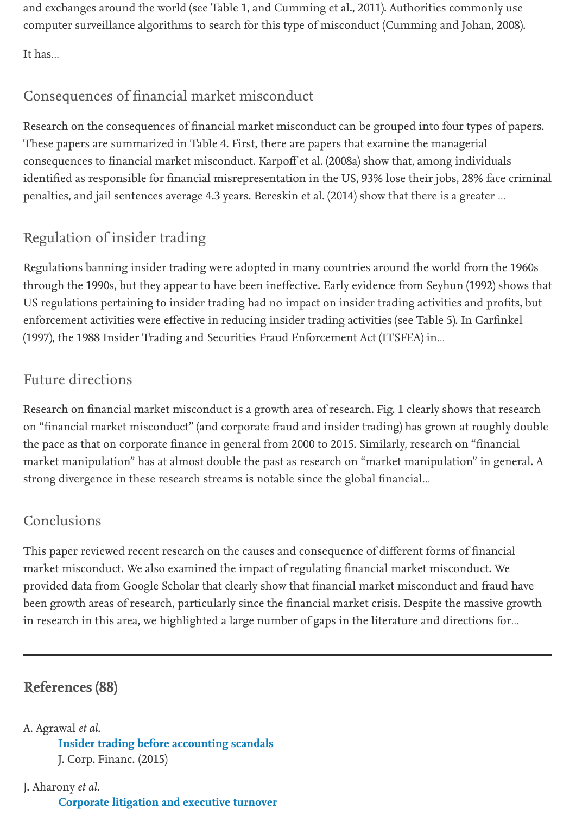and exchanges around the world (see Table 1, and Cumming et al., 2011). Authorities commonly use computer surveillance algorithms to search for this type of misconduct (Cumming and Johan, 2008).

It has…

# Consequences of financial market misconduct

Research on the consequences of financial market misconduct can be grouped into four types of papers. These papers are summarized in Table 4. First, there are papers that examine the managerial consequences to financial market misconduct. Karpoff et al. (2008a) show that, among individuals identified as responsible for financial misrepresentation in the US, 93% lose their jobs, 28% face criminal penalties, and jail sentences average 4.3 years. Bereskin et al. (2014) show that there is a greater …

# Regulation of insider trading

Regulations banning insider trading were adopted in many countries around the world from the 1960s through the 1990s, but they appear to have been ineffective. Early evidence from Seyhun (1992) shows that US regulations pertaining to insider trading had no impact on insider trading activities and profits, but enforcement activities were effective in reducing insider trading activities (see Table 5). In Garfinkel (1997), the 1988 Insider Trading and Securities Fraud Enforcement Act (ITSFEA) in…

# Future directions

Research on financial market misconduct is a growth area of research. Fig. 1 clearly shows that research on "financial market misconduct" (and corporate fraud and insider trading) has grown at roughly double the pace as that on corporate finance in general from 2000 to 2015. Similarly, research on "financial market manipulation" has at almost double the past as research on "market manipulation" in general. A strong divergence in these research streams is notable since the global financial…

# Conclusions

This paper reviewed recent research on the causes and consequence of different forms of financial market misconduct. We also examined the impact of regulating financial market misconduct. We provided data from Google Scholar that clearly show that financial market misconduct and fraud have been growth areas of research, particularly since the financial market crisis. Despite the massive growth in research in this area, we highlighted a large number of gaps in the literature and directions for…

# References (88)

### A. Agrawal et al.

Insider trading before [accounting](https://www.sciencedirect.com/science/article/pii/S0929119915000802) scandals J. Corp. Financ. (2015)

### J. Aharony et al.

[Corporate](https://www.sciencedirect.com/science/article/pii/S0929119915000838) litigation and executive turnover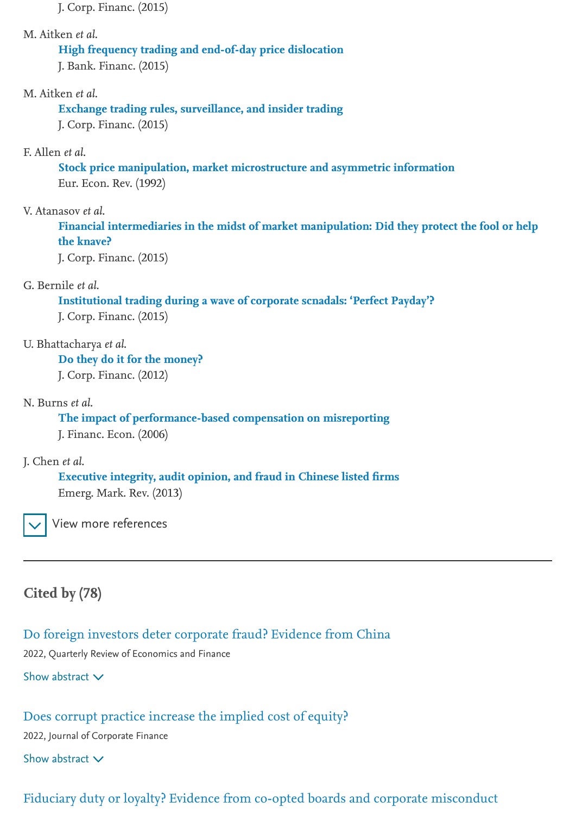J. Corp. Financ. (2015)

#### M. Aitken et al.

# High frequency trading and end-of-day [price dislocation](https://www.sciencedirect.com/science/article/pii/S0304405X00000714)

J. Bank. Financ. (2015)

#### M. Aitken et al.

Exchange trading rules, [surveillance, and](https://www.sciencedirect.com/science/article/pii/S0304405X04001850) insider trading J. Corp. Financ. (2015)

#### F. Allen et al.

Stock price manipulation, market microstructure and [asymmetric information](https://www.sciencedirect.com/science/article/pii/S0304405X08000287) Eur. Econ. Rev. (1992)

#### V. Atanasov et al.

Financial intermediaries in the midst [of market manipulation: Did](https://www.sciencedirect.com/science/article/pii/S0304405X09000786) they protect the fool or help the knave?

J. Corp. Financ. (2015)

#### G. Bernile et al.

Institutional trading during a wave of [corporate scnadals: 'Perfect Payday'?](https://www.sciencedirect.com/science/article/pii/S1386418104000217) J. Corp. Financ. (2015)

#### U. Bhattacharya et al.

Do they do it for the [money?](https://www.sciencedirect.com/science/article/pii/S0929119901000463) J. Corp. Financ. (2012)

#### N. Burns et al.

The impact of performance-based [compensation on misreporting](https://www.sciencedirect.com/science/article/pii/S0929119996000090) J. Financ. Econ. (2006)

#### J. Chen et al.

Executive integrity, audit opinion, and fraud [in Chinese listed](https://www.sciencedirect.com/science/article/pii/S0304405X08000160) firms Emerg. Mark. Rev. (2013)

View more references

### Cited by (78)

Do foreign investors deter [corporate](https://www.sciencedirect.com/science/article/pii/S1062976922000102) fraud? Evidence from China

2022, Quarterly Review of Economics and Finance

Show abstract  $\vee$ 

#### Does corrupt practice [increase](https://www.sciencedirect.com/science/article/pii/S0929119922000347) the implied cost of equity?

2022, Journal of Corporate Finance

Show abstract  $\vee$ 

### Fiduciary duty or loyalty? Evidence from co-opted boards and corporate [misconduct](https://www.sciencedirect.com/science/article/pii/S0929119921001887)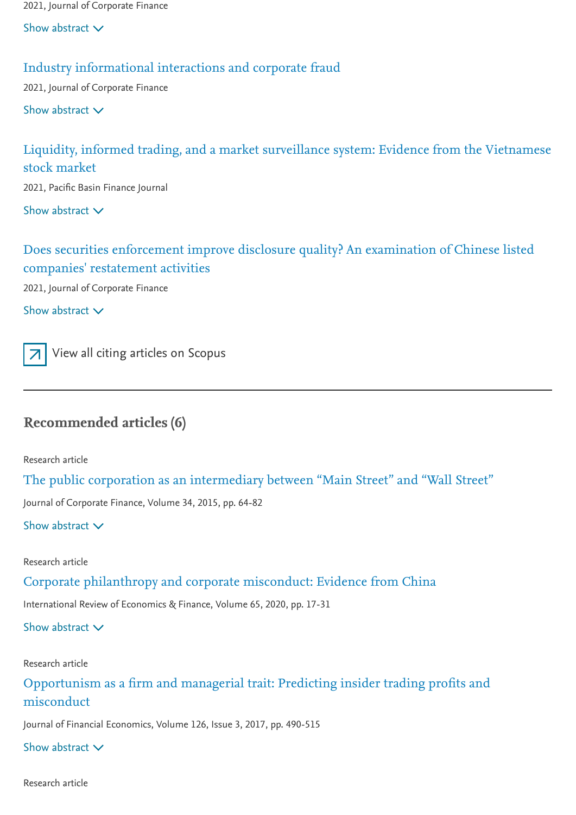2021, Journal of Corporate Finance

Show abstract  $\vee$ 

#### Industry [informational](https://www.sciencedirect.com/science/article/pii/S0929119921001450) interactions and corporate fraud

2021, Journal of Corporate Finance

Show abstract  $\vee$ 

### Liquidity, informed trading, and a market [surveillance](https://www.sciencedirect.com/science/article/pii/S0927538X21000743) system: Evidence from the Vietnamese stock market

2021, Pacific Basin Finance Journal

Show abstract  $\vee$ 

### Does securities enforcement improve disclosure quality? An [examination of Chinese listed](https://www.sciencedirect.com/science/article/pii/S0929119920303217) companies' restatement activities

2021, Journal of Corporate Finance

Show abstract  $\vee$ 



View all citing [articles](https://www.scopus.com/scopus/inward/citedby.url?partnerID=10&rel=3.0.0&eid=2-s2.0-84949108896&md5=8d3ece8ba0683c23f0e97c854e11d078) on Scopus

# Recommended articles (6)

Research article

The public corporation as an [intermediary](https://www.sciencedirect.com/science/article/pii/S0929119915000887) between "Main Street" and "Wall Street"

Journal of Corporate Finance, Volume 34, 2015, pp. 64-82

Show abstract  $\vee$ 

Research article

Corporate [philanthropy](https://www.sciencedirect.com/science/article/pii/S1059056019305933) and corporate misconduct: Evidence from China

International Review of Economics & Finance, Volume 65, 2020, pp. 17-31

Show abstract  $\vee$ 

Research article

[Opportunism](https://www.sciencedirect.com/science/article/pii/S0304405X17302349) as a firm and managerial trait: Predicting insider trading profits and misconduct

Journal of Financial Economics, Volume 126, Issue 3, 2017, pp. 490-515

Show abstract  $\vee$ 

Research article